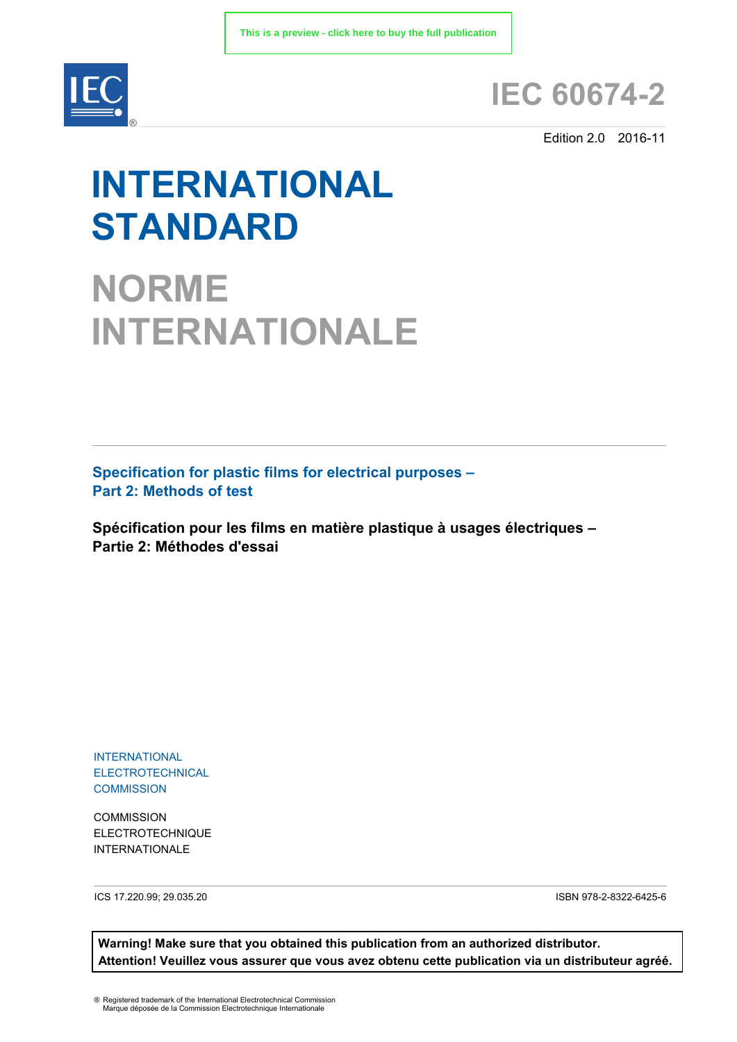

## **IEC 60674-2**

Edition 2.0 2016-11

# **INTERNATIONAL STANDARD**

**NORME INTERNATIONALE**

**Specification for plastic films for electrical purposes – Part 2: Methods of test** 

**Spécification pour les films en matière plastique à usages électriques – Partie 2: Méthodes d'essai**

INTERNATIONAL **ELECTROTECHNICAL COMMISSION** 

**COMMISSION** ELECTROTECHNIQUE INTERNATIONALE

ICS 17.220.99; 29.035.20 ISBN 978-2-8322-6425-6

**Warning! Make sure that you obtained this publication from an authorized distributor. Attention! Veuillez vous assurer que vous avez obtenu cette publication via un distributeur agréé.**

® Registered trademark of the International Electrotechnical Commission Marque déposée de la Commission Electrotechnique Internationale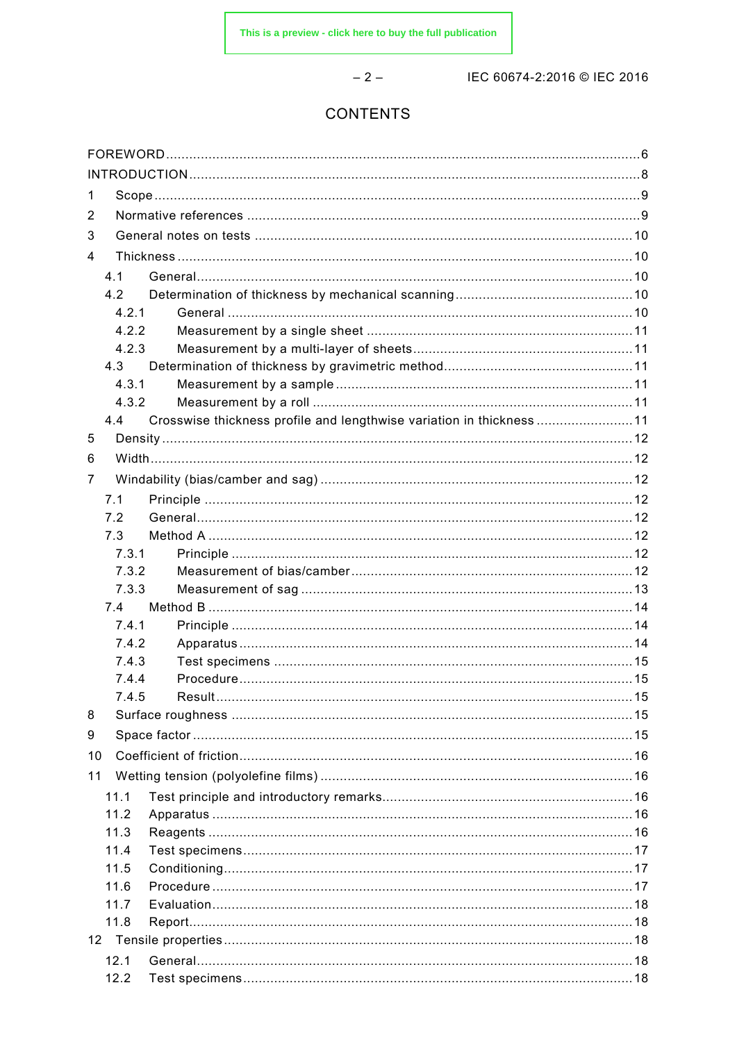$-2-$ 

IEC 60674-2:2016 © IEC 2016

## CONTENTS

| 1              |       |                                                                      |  |  |
|----------------|-------|----------------------------------------------------------------------|--|--|
| 2              |       |                                                                      |  |  |
| 3              |       |                                                                      |  |  |
| 4              |       |                                                                      |  |  |
|                | 4.1   |                                                                      |  |  |
|                | 4.2   |                                                                      |  |  |
|                | 4.2.1 |                                                                      |  |  |
|                | 4.2.2 |                                                                      |  |  |
|                | 4.2.3 |                                                                      |  |  |
|                | 4.3   |                                                                      |  |  |
|                | 4.3.1 |                                                                      |  |  |
|                | 4.3.2 |                                                                      |  |  |
|                | 4.4   | Crosswise thickness profile and lengthwise variation in thickness 11 |  |  |
| 5              |       |                                                                      |  |  |
| 6              |       |                                                                      |  |  |
| $\overline{7}$ |       |                                                                      |  |  |
|                | 7.1   |                                                                      |  |  |
|                | 7.2   |                                                                      |  |  |
|                | 7.3   |                                                                      |  |  |
|                | 7.3.1 |                                                                      |  |  |
|                | 7.3.2 |                                                                      |  |  |
|                | 7.3.3 |                                                                      |  |  |
|                | 7.4   |                                                                      |  |  |
|                | 7.4.1 |                                                                      |  |  |
|                | 7.4.2 |                                                                      |  |  |
|                | 7.4.3 |                                                                      |  |  |
|                | 7.4.4 |                                                                      |  |  |
|                | 7.4.5 |                                                                      |  |  |
| 8              |       |                                                                      |  |  |
| 9              |       |                                                                      |  |  |
| 10             |       |                                                                      |  |  |
| 11             |       |                                                                      |  |  |
|                | 11.1  |                                                                      |  |  |
|                | 11.2  |                                                                      |  |  |
|                | 11.3  |                                                                      |  |  |
|                | 11.4  |                                                                      |  |  |
|                | 11.5  |                                                                      |  |  |
|                | 11.6  |                                                                      |  |  |
|                | 11.7  |                                                                      |  |  |
|                | 11.8  |                                                                      |  |  |
|                |       |                                                                      |  |  |
|                | 12.1  |                                                                      |  |  |
|                | 12.2  |                                                                      |  |  |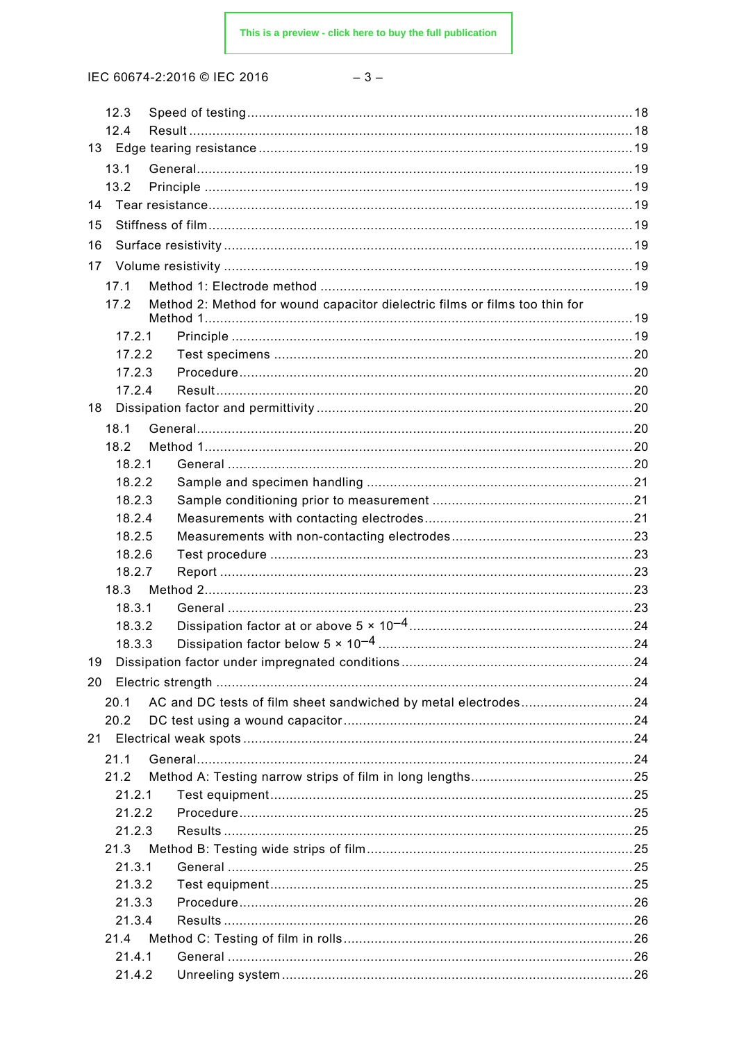|    | 12.3   |                                                                             |  |
|----|--------|-----------------------------------------------------------------------------|--|
|    | 12.4   |                                                                             |  |
|    |        |                                                                             |  |
|    | 13.1   |                                                                             |  |
|    | 13.2   |                                                                             |  |
| 14 |        |                                                                             |  |
| 15 |        |                                                                             |  |
| 16 |        |                                                                             |  |
| 17 |        |                                                                             |  |
|    | 17.1   |                                                                             |  |
|    | 17.2   | Method 2: Method for wound capacitor dielectric films or films too thin for |  |
|    |        |                                                                             |  |
|    | 17.2.1 |                                                                             |  |
|    | 17.2.2 |                                                                             |  |
|    | 17.2.3 |                                                                             |  |
|    | 17.2.4 |                                                                             |  |
| 18 |        |                                                                             |  |
|    | 18.1   |                                                                             |  |
|    | 18.2   |                                                                             |  |
|    | 18.2.1 |                                                                             |  |
|    | 18.2.2 |                                                                             |  |
|    | 18.2.3 |                                                                             |  |
|    | 18.2.4 |                                                                             |  |
|    | 18.2.5 |                                                                             |  |
|    | 18.2.6 |                                                                             |  |
|    | 18.2.7 |                                                                             |  |
|    | 18.3   |                                                                             |  |
|    | 18.3.1 |                                                                             |  |
|    | 18.3.2 |                                                                             |  |
|    | 18.3.3 |                                                                             |  |
| 19 |        |                                                                             |  |
| 20 |        |                                                                             |  |
|    | 20.1   | AC and DC tests of film sheet sandwiched by metal electrodes24              |  |
|    | 20.2   |                                                                             |  |
| 21 |        |                                                                             |  |
|    | 21.1   |                                                                             |  |
|    | 21.2   |                                                                             |  |
|    | 21.2.1 |                                                                             |  |
|    | 21.2.2 |                                                                             |  |
|    | 21.2.3 |                                                                             |  |
|    | 21.3   |                                                                             |  |
|    | 21.3.1 |                                                                             |  |
|    | 21.3.2 |                                                                             |  |
|    | 21.3.3 |                                                                             |  |
|    | 21.3.4 |                                                                             |  |
|    | 21.4   |                                                                             |  |
|    | 21.4.1 |                                                                             |  |
|    | 21.4.2 |                                                                             |  |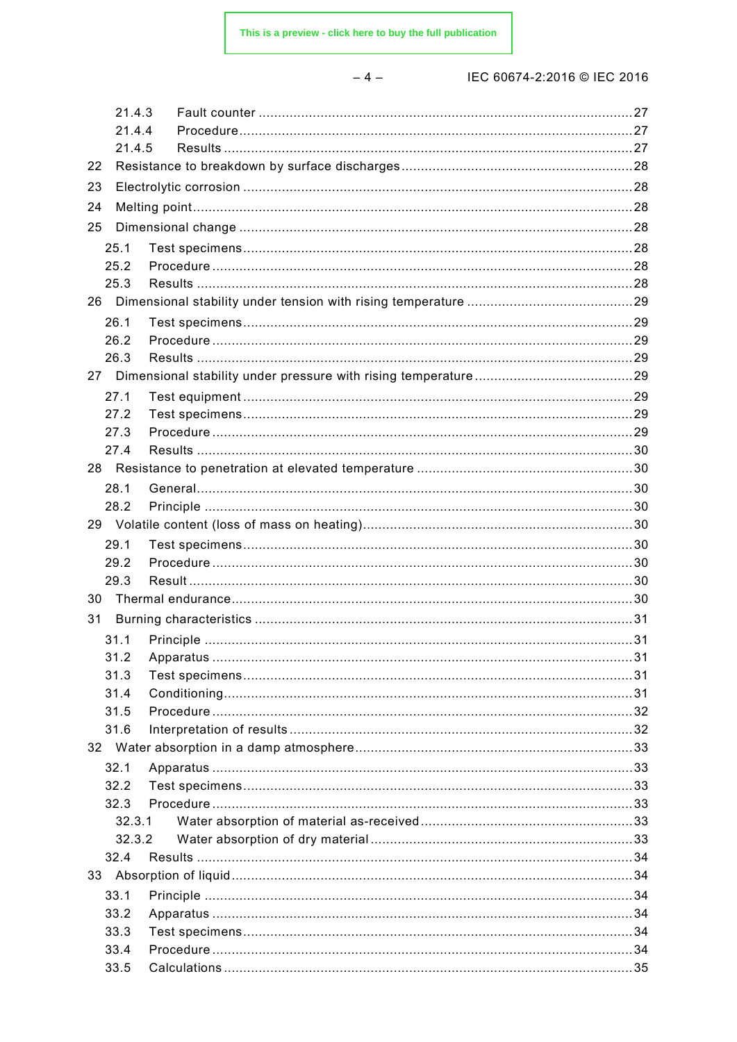$-4-$ 

| 21.4.4<br>21.4.5<br>22<br>23<br>24<br>25<br>25.1<br>25.2<br>25.3<br>26.1<br>26.2<br>26.3<br>27<br>27.1<br>27.2<br>27.3<br>27.4<br>28.1<br>28.2<br>29.1<br>29.2<br>29.3<br>30<br>31<br>31.1<br>31.3<br>31.4<br>31.5<br>31.6<br>32.1<br>32.2<br>32.3<br>32.3.1<br>32.3.2<br>32.4<br>33.1<br>33.2<br>33.3<br>33.4<br>33.5 | 21.4.3 |  |  |  |
|------------------------------------------------------------------------------------------------------------------------------------------------------------------------------------------------------------------------------------------------------------------------------------------------------------------------|--------|--|--|--|
|                                                                                                                                                                                                                                                                                                                        |        |  |  |  |
|                                                                                                                                                                                                                                                                                                                        |        |  |  |  |
|                                                                                                                                                                                                                                                                                                                        |        |  |  |  |
|                                                                                                                                                                                                                                                                                                                        |        |  |  |  |
|                                                                                                                                                                                                                                                                                                                        |        |  |  |  |
|                                                                                                                                                                                                                                                                                                                        |        |  |  |  |
|                                                                                                                                                                                                                                                                                                                        |        |  |  |  |
|                                                                                                                                                                                                                                                                                                                        |        |  |  |  |
|                                                                                                                                                                                                                                                                                                                        |        |  |  |  |
|                                                                                                                                                                                                                                                                                                                        |        |  |  |  |
|                                                                                                                                                                                                                                                                                                                        |        |  |  |  |
|                                                                                                                                                                                                                                                                                                                        |        |  |  |  |
|                                                                                                                                                                                                                                                                                                                        |        |  |  |  |
|                                                                                                                                                                                                                                                                                                                        |        |  |  |  |
|                                                                                                                                                                                                                                                                                                                        |        |  |  |  |
|                                                                                                                                                                                                                                                                                                                        |        |  |  |  |
|                                                                                                                                                                                                                                                                                                                        |        |  |  |  |
|                                                                                                                                                                                                                                                                                                                        |        |  |  |  |
|                                                                                                                                                                                                                                                                                                                        |        |  |  |  |
|                                                                                                                                                                                                                                                                                                                        |        |  |  |  |
|                                                                                                                                                                                                                                                                                                                        |        |  |  |  |
|                                                                                                                                                                                                                                                                                                                        |        |  |  |  |
|                                                                                                                                                                                                                                                                                                                        |        |  |  |  |
|                                                                                                                                                                                                                                                                                                                        |        |  |  |  |
|                                                                                                                                                                                                                                                                                                                        |        |  |  |  |
|                                                                                                                                                                                                                                                                                                                        |        |  |  |  |
|                                                                                                                                                                                                                                                                                                                        |        |  |  |  |
|                                                                                                                                                                                                                                                                                                                        |        |  |  |  |
|                                                                                                                                                                                                                                                                                                                        |        |  |  |  |
|                                                                                                                                                                                                                                                                                                                        |        |  |  |  |
|                                                                                                                                                                                                                                                                                                                        |        |  |  |  |
|                                                                                                                                                                                                                                                                                                                        |        |  |  |  |
|                                                                                                                                                                                                                                                                                                                        |        |  |  |  |
|                                                                                                                                                                                                                                                                                                                        |        |  |  |  |
|                                                                                                                                                                                                                                                                                                                        |        |  |  |  |
|                                                                                                                                                                                                                                                                                                                        |        |  |  |  |
|                                                                                                                                                                                                                                                                                                                        |        |  |  |  |
|                                                                                                                                                                                                                                                                                                                        |        |  |  |  |
|                                                                                                                                                                                                                                                                                                                        |        |  |  |  |
|                                                                                                                                                                                                                                                                                                                        |        |  |  |  |
|                                                                                                                                                                                                                                                                                                                        |        |  |  |  |
|                                                                                                                                                                                                                                                                                                                        |        |  |  |  |
|                                                                                                                                                                                                                                                                                                                        |        |  |  |  |
|                                                                                                                                                                                                                                                                                                                        |        |  |  |  |
|                                                                                                                                                                                                                                                                                                                        |        |  |  |  |
|                                                                                                                                                                                                                                                                                                                        |        |  |  |  |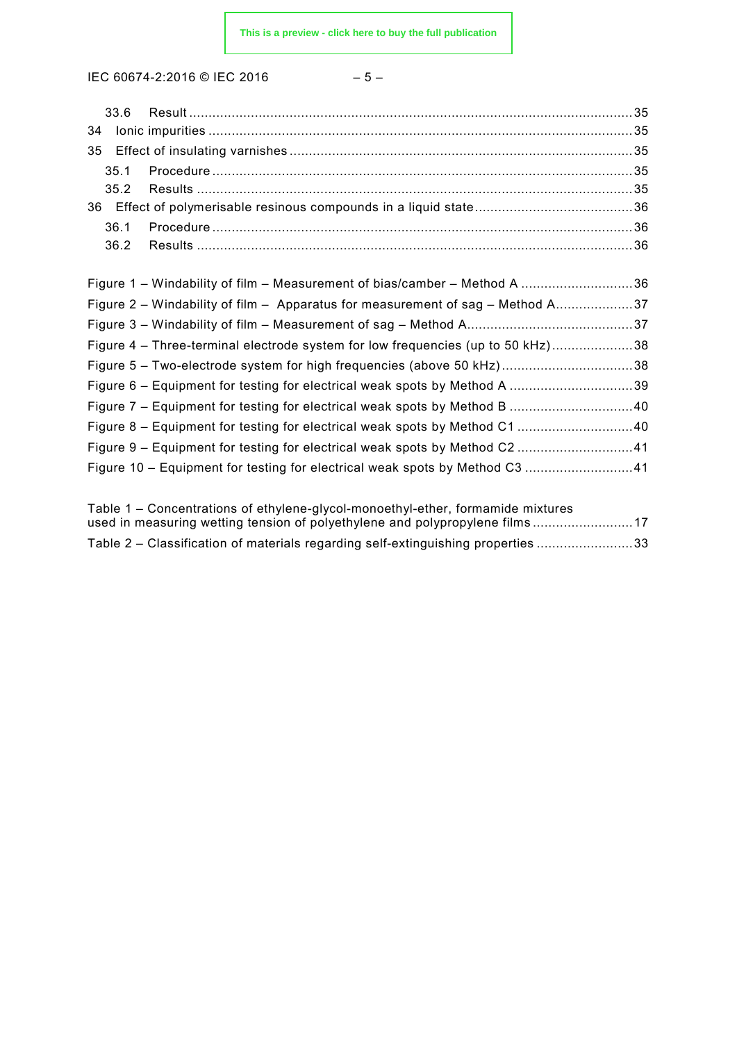IEC 60674-2:2016 © IEC 2016 – 5 –

| Figure 1 – Windability of film – Measurement of bias/camber – Method A 36       |  |
|---------------------------------------------------------------------------------|--|
| Figure 2 – Windability of film – Apparatus for measurement of sag – Method A37  |  |
|                                                                                 |  |
| Figure 4 – Three-terminal electrode system for low frequencies (up to 50 kHz)38 |  |
| Figure 5 – Two-electrode system for high frequencies (above 50 kHz) 38          |  |
| Figure 6 – Equipment for testing for electrical weak spots by Method A 39       |  |
| Figure 7 – Equipment for testing for electrical weak spots by Method B 40       |  |
|                                                                                 |  |
|                                                                                 |  |
| Figure 10 – Equipment for testing for electrical weak spots by Method C3 41     |  |
|                                                                                 |  |

| Table 1 - Concentrations of ethylene-glycol-monoethyl-ether, formamide mixtures  |  |
|----------------------------------------------------------------------------------|--|
| used in measuring wetting tension of polyethylene and polypropylene films17      |  |
| Table 2 – Classification of materials regarding self-extinguishing properties 33 |  |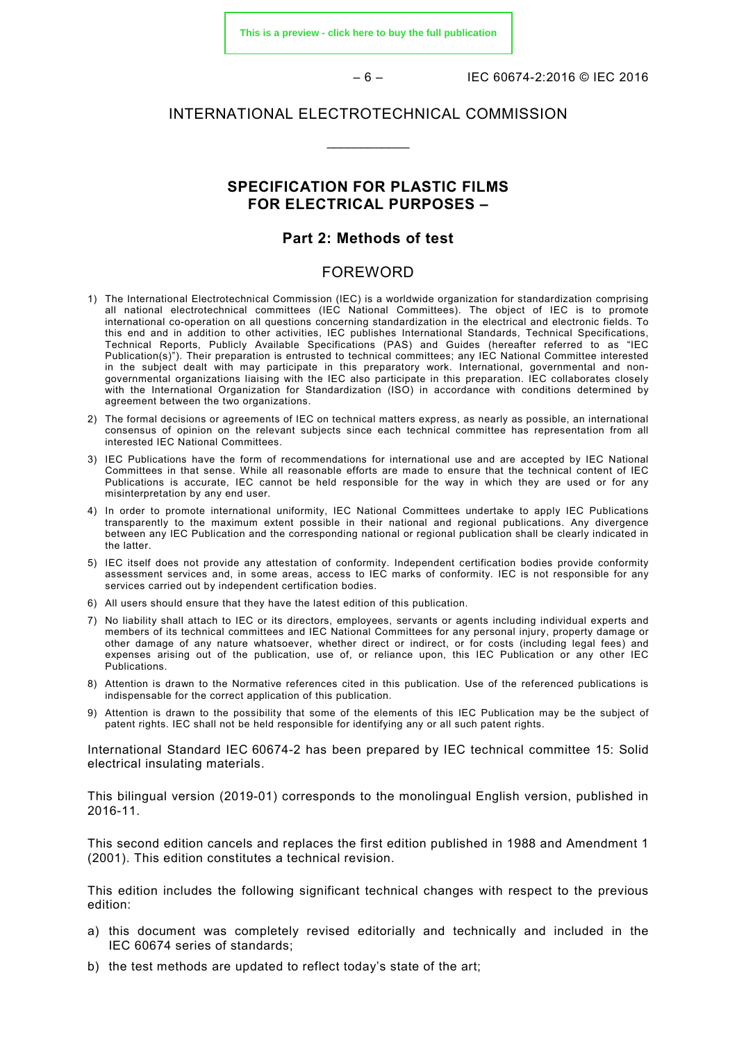**[This is a preview - click here to buy the full publication](https://webstore.iec.ch/publication/26239&preview)**

– 6 – IEC 60674-2:2016 © IEC 2016

#### INTERNATIONAL ELECTROTECHNICAL COMMISSION

\_\_\_\_\_\_\_\_\_\_\_\_

## **SPECIFICATION FOR PLASTIC FILMS FOR ELECTRICAL PURPOSES –**

## **Part 2: Methods of test**

### FOREWORD

- <span id="page-5-0"></span>1) The International Electrotechnical Commission (IEC) is a worldwide organization for standardization comprising all national electrotechnical committees (IEC National Committees). The object of IEC is to promote international co-operation on all questions concerning standardization in the electrical and electronic fields. To this end and in addition to other activities, IEC publishes International Standards, Technical Specifications, Technical Reports, Publicly Available Specifications (PAS) and Guides (hereafter referred to as "IEC Publication(s)"). Their preparation is entrusted to technical committees; any IEC National Committee interested in the subject dealt with may participate in this preparatory work. International, governmental and nongovernmental organizations liaising with the IEC also participate in this preparation. IEC collaborates closely with the International Organization for Standardization (ISO) in accordance with conditions determined by agreement between the two organizations.
- 2) The formal decisions or agreements of IEC on technical matters express, as nearly as possible, an international consensus of opinion on the relevant subjects since each technical committee has representation from all interested IEC National Committees.
- 3) IEC Publications have the form of recommendations for international use and are accepted by IEC National Committees in that sense. While all reasonable efforts are made to ensure that the technical content of IEC Publications is accurate, IEC cannot be held responsible for the way in which they are used or for any misinterpretation by any end user.
- 4) In order to promote international uniformity, IEC National Committees undertake to apply IEC Publications transparently to the maximum extent possible in their national and regional publications. Any divergence between any IEC Publication and the corresponding national or regional publication shall be clearly indicated in the latter.
- 5) IEC itself does not provide any attestation of conformity. Independent certification bodies provide conformity assessment services and, in some areas, access to IEC marks of conformity. IEC is not responsible for any services carried out by independent certification bodies.
- 6) All users should ensure that they have the latest edition of this publication.
- 7) No liability shall attach to IEC or its directors, employees, servants or agents including individual experts and members of its technical committees and IEC National Committees for any personal injury, property damage or other damage of any nature whatsoever, whether direct or indirect, or for costs (including legal fees) and expenses arising out of the publication, use of, or reliance upon, this IEC Publication or any other IEC Publications.
- 8) Attention is drawn to the Normative references cited in this publication. Use of the referenced publications is indispensable for the correct application of this publication.
- 9) Attention is drawn to the possibility that some of the elements of this IEC Publication may be the subject of patent rights. IEC shall not be held responsible for identifying any or all such patent rights.

International Standard IEC 60674-2 has been prepared by IEC technical committee 15: Solid electrical insulating materials.

This bilingual version (2019-01) corresponds to the monolingual English version, published in 2016-11.

This second edition cancels and replaces the first edition published in 1988 and Amendment 1 (2001). This edition constitutes a technical revision.

This edition includes the following significant technical changes with respect to the previous edition:

- a) this document was completely revised editorially and technically and included in the IEC 60674 series of standards;
- b) the test methods are updated to reflect today's state of the art;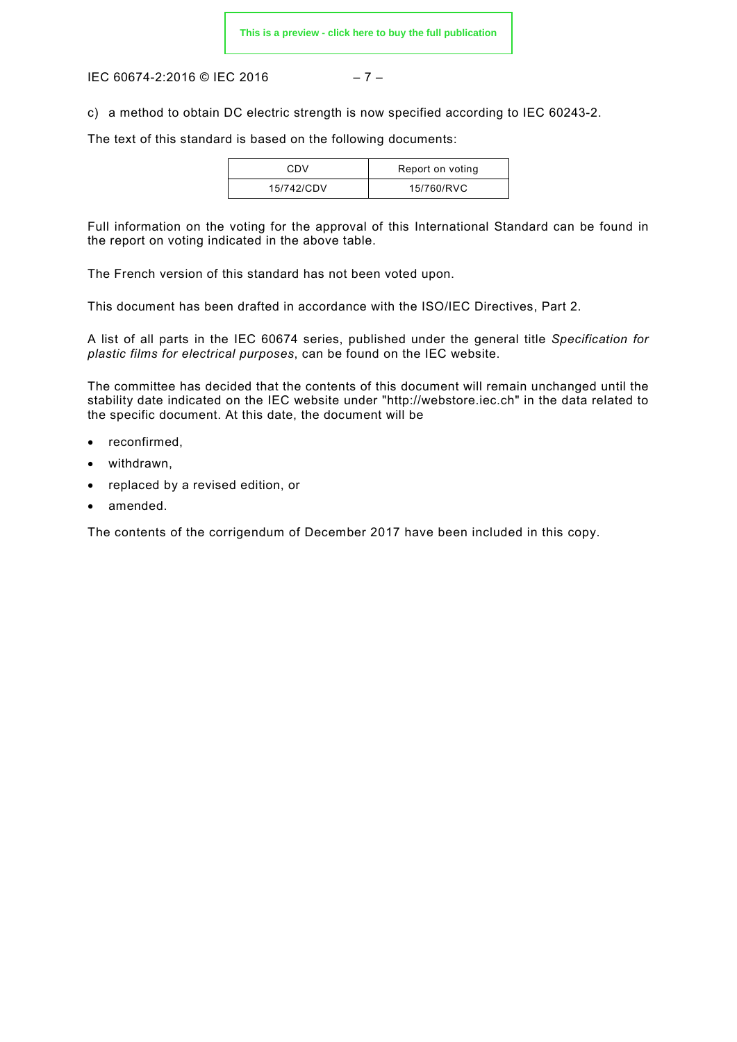IEC 60674-2:2016 © IEC 2016 – 7 –

c) a method to obtain DC electric strength is now specified according to IEC 60243-2.

The text of this standard is based on the following documents:

| CDV        | Report on voting |
|------------|------------------|
| 15/742/CDV | 15/760/RVC       |

Full information on the voting for the approval of this International Standard can be found in the report on voting indicated in the above table.

The French version of this standard has not been voted upon.

This document has been drafted in accordance with the ISO/IEC Directives, Part 2.

A list of all parts in the IEC 60674 series, published under the general title *Specification for plastic films for electrical purposes*, can be found on the IEC website.

The committee has decided that the contents of this document will remain unchanged until the stability date indicated on the IEC website under "http://webstore.iec.ch" in the data related to the specific document. At this date, the document will be

- reconfirmed,
- withdrawn,
- replaced by a revised edition, or
- amended.

The contents of the corrigendum of December 2017 have been included in this copy.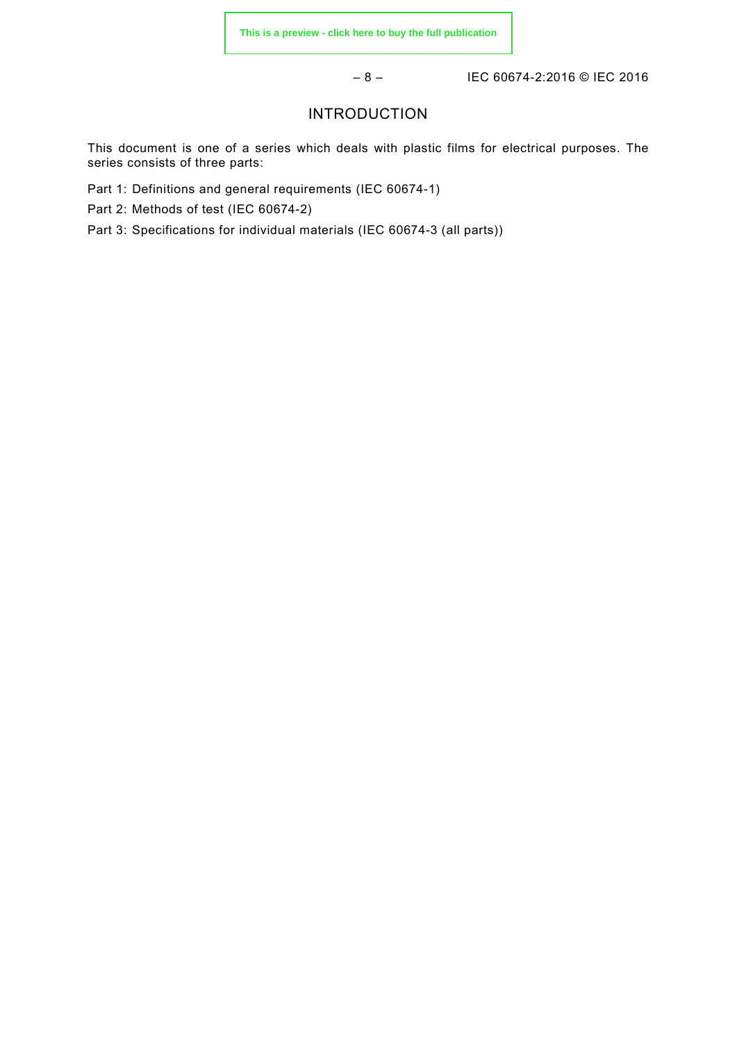– 8 – IEC 60674-2:2016 © IEC 2016

## INTRODUCTION

<span id="page-7-0"></span>This document is one of a series which deals with plastic films for electrical purposes. The series consists of three parts:

Part 1: Definitions and general requirements (IEC 60674-1)

Part 2: Methods of test (IEC 60674-2)

Part 3: Specifications for individual materials (IEC 60674-3 (all parts))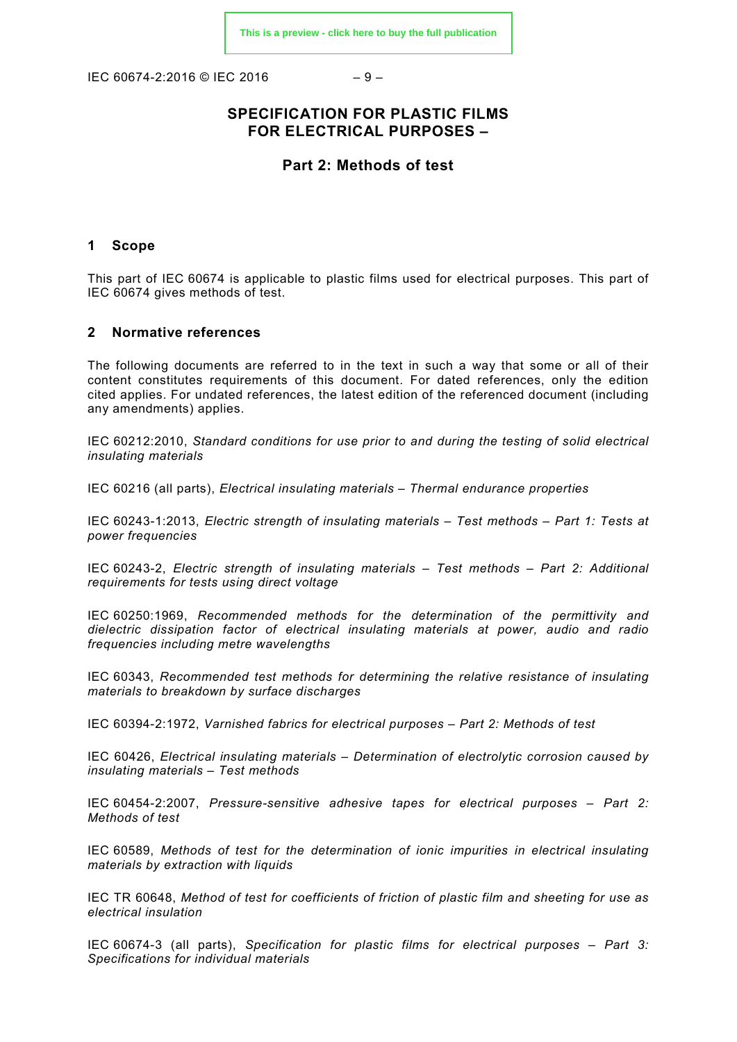IEC 60674-2:2016 © IEC 2016 – 9 –

## **SPECIFICATION FOR PLASTIC FILMS FOR ELECTRICAL PURPOSES –**

## **Part 2: Methods of test**

#### <span id="page-8-0"></span>**1 Scope**

This part of IEC 60674 is applicable to plastic films used for electrical purposes. This part of IEC 60674 gives methods of test.

#### <span id="page-8-1"></span>**2 Normative references**

The following documents are referred to in the text in such a way that some or all of their content constitutes requirements of this document. For dated references, only the edition cited applies. For undated references, the latest edition of the referenced document (including any amendments) applies.

IEC 60212:2010, *Standard conditions for use prior to and during the testing of solid electrical insulating materials*

IEC 60216 (all parts), *Electrical insulating materials – Thermal endurance properties*

IEC 60243-1:2013, *Electric strength of insulating materials – Test methods – Part 1: Tests at power frequencies*

IEC 60243-2, *Electric strength of insulating materials – Test methods – Part 2: Additional requirements for tests using direct voltage*

IEC 60250:1969, *Recommended methods for the determination of the permittivity and dielectric dissipation factor of electrical insulating materials at power, audio and radio frequencies including metre wavelengths*

IEC 60343, *Recommended test methods for determining the relative resistance of insulating materials to breakdown by surface discharges*

IEC 60394-2:1972, *Varnished fabrics for electrical purposes – Part 2: Methods of test*

IEC 60426, *Electrical insulating materials – Determination of electrolytic corrosion caused by insulating materials – Test methods*

IEC 60454-2:2007, *Pressure-sensitive adhesive tapes for electrical purposes – Part 2: Methods of test*

IEC 60589, *Methods of test for the determination of ionic impurities in electrical insulating materials by extraction with liquids*

IEC TR 60648, *Method of test for coefficients of friction of plastic film and sheeting for use as electrical insulation*

IEC 60674-3 (all parts), *Specification for plastic films for electrical purposes – Part 3: Specifications for individual materials*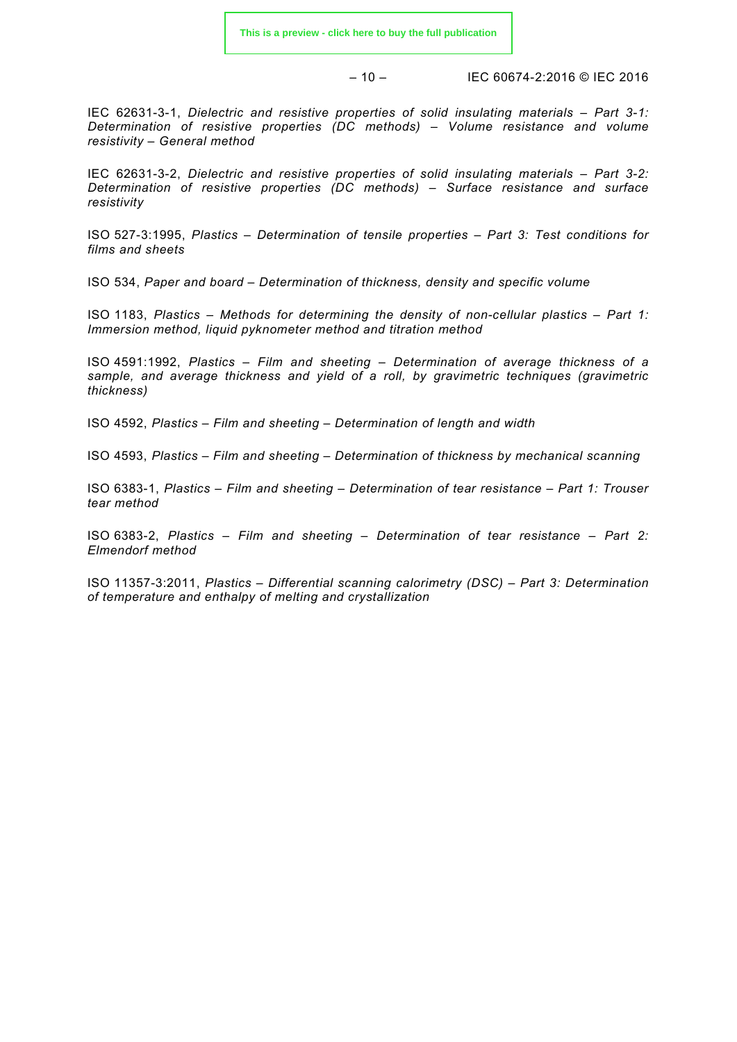– 10 – IEC 60674-2:2016 © IEC 2016

IEC 62631-3-1, *Dielectric and resistive properties of solid insulating materials – Part 3-1: Determination of resistive properties (DC methods) – Volume resistance and volume resistivity – General method*

IEC 62631-3-2, *Dielectric and resistive properties of solid insulating materials – Part 3-2: Determination of resistive properties (DC methods) – Surface resistance and surface resistivity*

ISO 527-3:1995, *Plastics – Determination of tensile properties – Part 3: Test conditions for films and sheets*

ISO 534, *Paper and board – Determination of thickness, density and specific volume*

ISO 1183, *Plastics – Methods for determining the density of non-cellular plastics – Part 1: Immersion method, liquid pyknometer method and titration method*

ISO 4591:1992, *Plastics – Film and sheeting – Determination of average thickness of a sample, and average thickness and yield of a roll, by gravimetric techniques (gravimetric thickness)*

ISO 4592, *Plastics – Film and sheeting – Determination of length and width*

ISO 4593, *Plastics – Film and sheeting – Determination of thickness by mechanical scanning*

ISO 6383-1, *Plastics – Film and sheeting – Determination of tear resistance – Part 1: Trouser tear method*

ISO 6383-2, *Plastics – Film and sheeting – Determination of tear resistance – Part 2: Elmendorf method*

<span id="page-9-4"></span><span id="page-9-3"></span><span id="page-9-2"></span><span id="page-9-1"></span><span id="page-9-0"></span>ISO 11357-3:2011, *Plastics – Differential scanning calorimetry (DSC) – Part 3: Determination of temperature and enthalpy of melting and crystallization*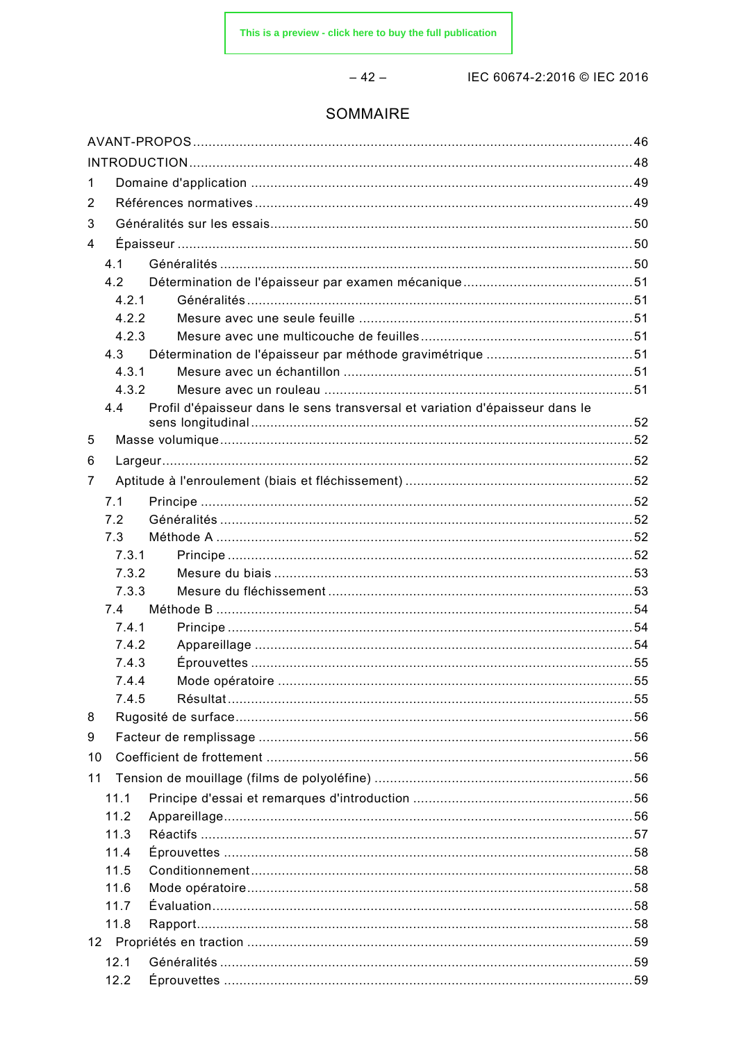$-42-$ 

IEC 60674-2:2016 © IEC 2016

## SOMMAIRE

| 1.             |                                                                              |  |  |
|----------------|------------------------------------------------------------------------------|--|--|
| 2              |                                                                              |  |  |
| 3              |                                                                              |  |  |
| 4              |                                                                              |  |  |
| 4.1            |                                                                              |  |  |
| 4.2            |                                                                              |  |  |
| 4.2.1          |                                                                              |  |  |
| 4.2.2          |                                                                              |  |  |
| 4.2.3          |                                                                              |  |  |
| 4.3            |                                                                              |  |  |
| 4.3.1          |                                                                              |  |  |
| 4.3.2          |                                                                              |  |  |
| 4.4            | Profil d'épaisseur dans le sens transversal et variation d'épaisseur dans le |  |  |
| 5              |                                                                              |  |  |
| 6              |                                                                              |  |  |
| $\overline{7}$ |                                                                              |  |  |
| 7.1            |                                                                              |  |  |
| 7.2            |                                                                              |  |  |
| 7.3            |                                                                              |  |  |
| 7.3.1          |                                                                              |  |  |
| 7.3.2          |                                                                              |  |  |
| 7.3.3          |                                                                              |  |  |
| 7.4            |                                                                              |  |  |
| 7.4.1          |                                                                              |  |  |
| 7.4.2          |                                                                              |  |  |
| 7.4.3          |                                                                              |  |  |
| 7.4.4          |                                                                              |  |  |
| 7.4.5          |                                                                              |  |  |
| 8              |                                                                              |  |  |
| 9              |                                                                              |  |  |
| 10             |                                                                              |  |  |
| 11             |                                                                              |  |  |
| 11.1           |                                                                              |  |  |
| 11.2           |                                                                              |  |  |
| 11.3           |                                                                              |  |  |
| 11.4           |                                                                              |  |  |
| 11.5           |                                                                              |  |  |
| 11.6           |                                                                              |  |  |
| 11.7           |                                                                              |  |  |
| 11.8           |                                                                              |  |  |
|                |                                                                              |  |  |
| 12.1           |                                                                              |  |  |
| 12.2           |                                                                              |  |  |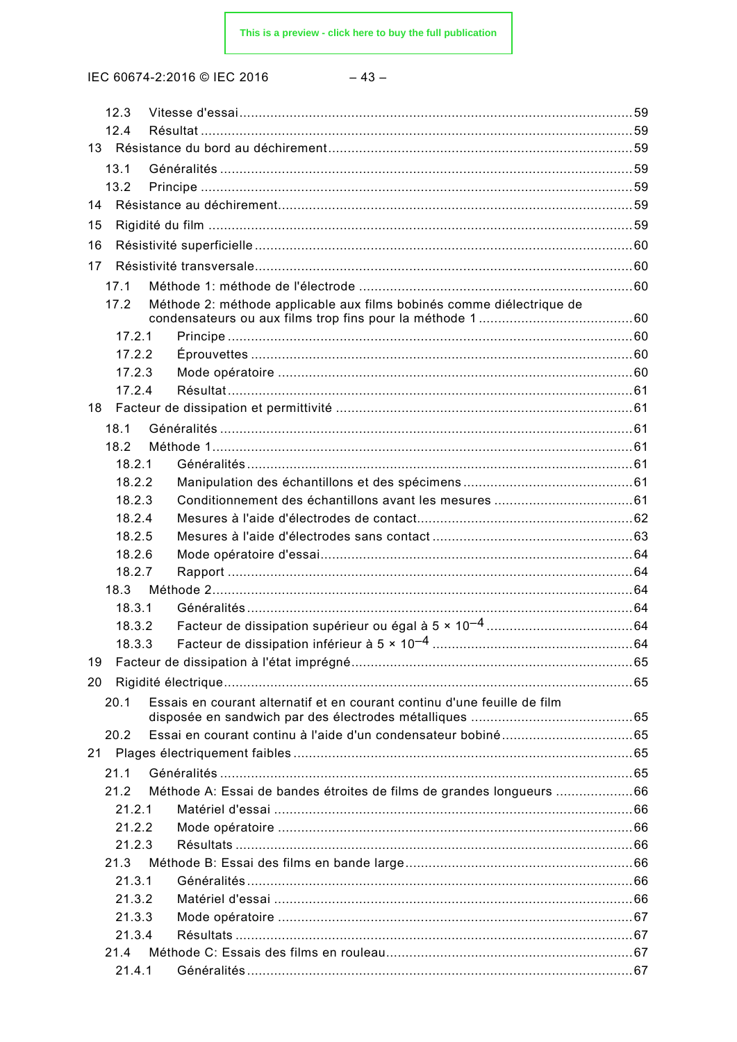| 12.3   |                                                                          |  |  |
|--------|--------------------------------------------------------------------------|--|--|
| 12.4   |                                                                          |  |  |
|        |                                                                          |  |  |
| 13.1   |                                                                          |  |  |
| 13.2   |                                                                          |  |  |
| 14     |                                                                          |  |  |
| 15     |                                                                          |  |  |
| 16     |                                                                          |  |  |
| 17     |                                                                          |  |  |
| 17.1   |                                                                          |  |  |
| 17.2   | Méthode 2: méthode applicable aux films bobinés comme diélectrique de    |  |  |
|        |                                                                          |  |  |
| 17.2.1 |                                                                          |  |  |
| 17.2.2 |                                                                          |  |  |
| 17.2.3 |                                                                          |  |  |
| 17.2.4 |                                                                          |  |  |
| 18     |                                                                          |  |  |
| 18.1   |                                                                          |  |  |
| 18.2   |                                                                          |  |  |
| 18.2.1 |                                                                          |  |  |
| 18.2.2 |                                                                          |  |  |
| 18.2.3 |                                                                          |  |  |
| 18.2.4 |                                                                          |  |  |
| 18.2.5 |                                                                          |  |  |
| 18.2.6 |                                                                          |  |  |
| 18.2.7 |                                                                          |  |  |
| 18.3   |                                                                          |  |  |
| 18.3.1 |                                                                          |  |  |
| 18.3.2 |                                                                          |  |  |
| 18.3.3 |                                                                          |  |  |
| 19     |                                                                          |  |  |
| 20     |                                                                          |  |  |
| 20.1   | Essais en courant alternatif et en courant continu d'une feuille de film |  |  |
| 20.2   |                                                                          |  |  |
| 21     |                                                                          |  |  |
| 21.1   |                                                                          |  |  |
| 21.2   | Méthode A: Essai de bandes étroites de films de grandes longueurs 66     |  |  |
| 21.2.1 |                                                                          |  |  |
| 21.2.2 |                                                                          |  |  |
| 21.2.3 |                                                                          |  |  |
| 21.3   |                                                                          |  |  |
| 21.3.1 |                                                                          |  |  |
| 21.3.2 |                                                                          |  |  |
| 21.3.3 |                                                                          |  |  |
| 21.3.4 |                                                                          |  |  |
| 21.4   |                                                                          |  |  |
| 21.4.1 |                                                                          |  |  |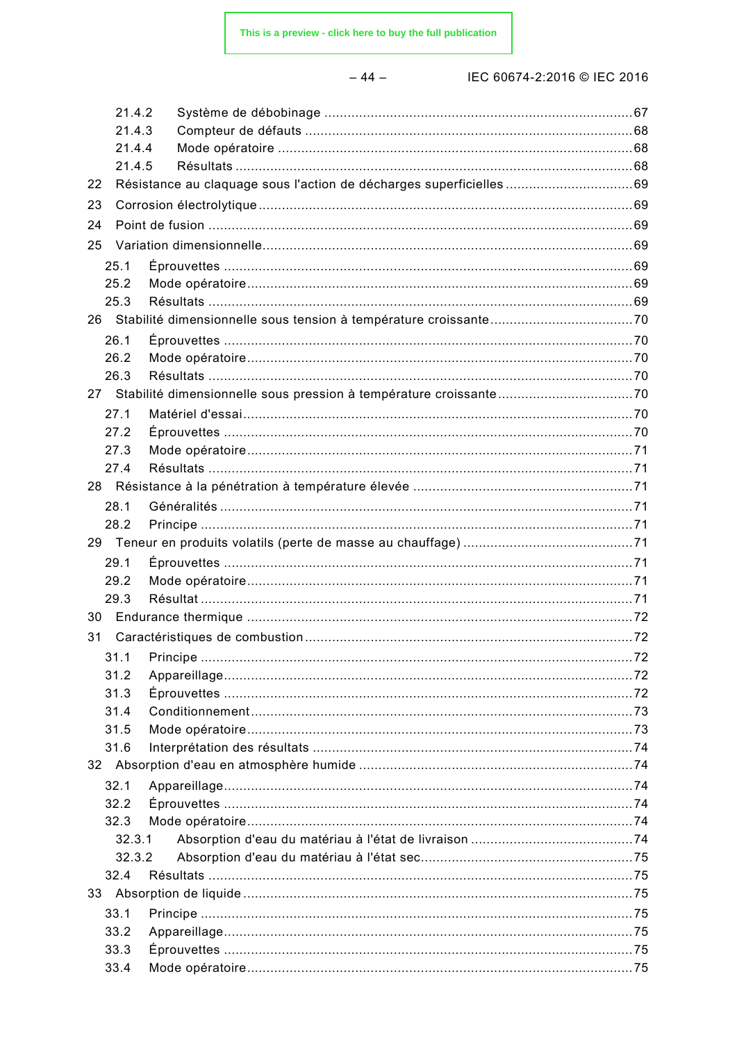### $-44-$

|    | 21.4.2 |               |      |  |
|----|--------|---------------|------|--|
|    | 21.4.3 |               |      |  |
|    | 21.4.4 |               |      |  |
|    | 21.4.5 |               |      |  |
| 22 |        |               |      |  |
| 23 |        |               |      |  |
| 24 |        |               |      |  |
| 25 |        |               |      |  |
|    | 25.1   |               |      |  |
|    | 25.2   |               |      |  |
|    | 25.3   |               |      |  |
|    |        |               |      |  |
|    | 26.1   |               |      |  |
|    | 26.2   |               |      |  |
|    | 26.3   |               |      |  |
| 27 |        |               |      |  |
|    | 27.1   |               |      |  |
|    | 27.2   |               |      |  |
|    | 27.3   |               |      |  |
|    | 27.4   |               |      |  |
|    |        |               |      |  |
|    | 28.1   |               |      |  |
|    | 28.2   |               |      |  |
|    |        |               |      |  |
|    | 29.1   |               |      |  |
|    | 29.2   |               |      |  |
|    | 29.3   |               |      |  |
| 30 |        |               |      |  |
| 31 |        |               |      |  |
|    |        | 31.1 Principe | . 72 |  |
|    | 31.2   |               |      |  |
|    | 31.3   |               |      |  |
|    | 31.4   |               |      |  |
|    | 31.5   |               |      |  |
|    | 31.6   |               |      |  |
|    |        |               |      |  |
|    | 32.1   |               |      |  |
|    | 32.2   |               |      |  |
|    | 32.3   |               |      |  |
|    | 32.3.1 |               |      |  |
|    | 32.3.2 |               |      |  |
|    | 32.4   |               |      |  |
|    |        |               |      |  |
|    | 33.1   |               |      |  |
|    | 33.2   |               |      |  |
|    | 33.3   |               |      |  |
|    | 33.4   |               |      |  |
|    |        |               |      |  |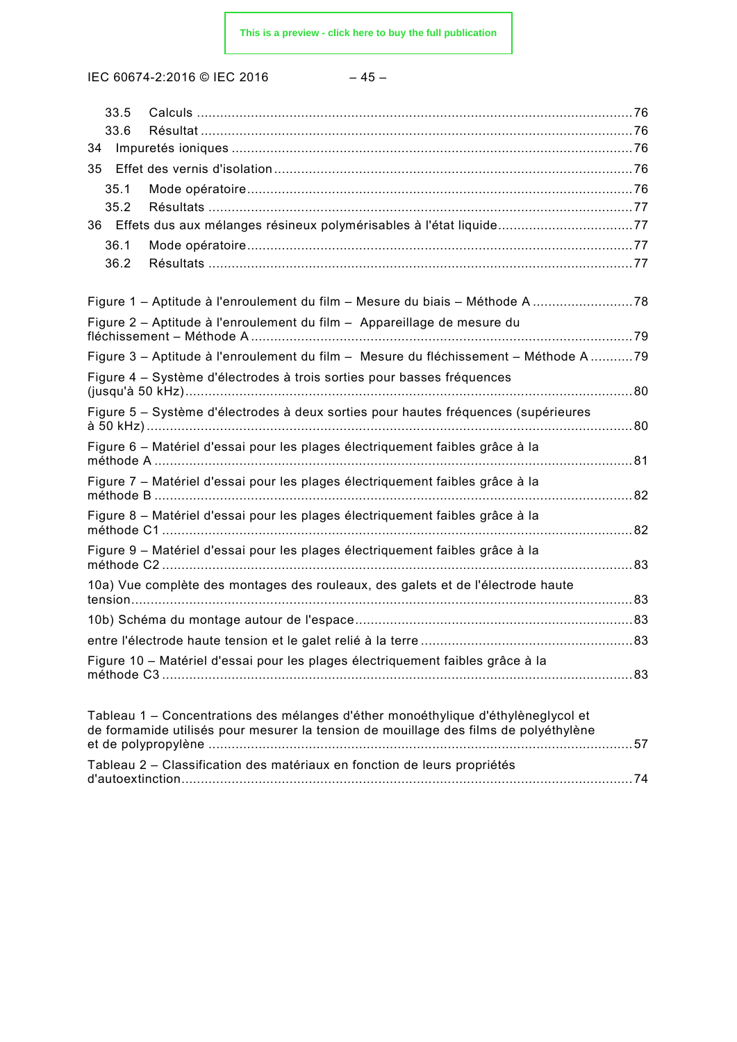IEC 60674-2:2016 © IEC 2016 – 45 –

|    | 33.5 |                                                                                                                                                                           |  |
|----|------|---------------------------------------------------------------------------------------------------------------------------------------------------------------------------|--|
| 34 | 33.6 |                                                                                                                                                                           |  |
| 35 |      |                                                                                                                                                                           |  |
|    | 35.1 |                                                                                                                                                                           |  |
|    | 35.2 |                                                                                                                                                                           |  |
|    |      | 36 Effets dus aux mélanges résineux polymérisables à l'état liquide77                                                                                                     |  |
|    | 36.1 |                                                                                                                                                                           |  |
|    | 36.2 |                                                                                                                                                                           |  |
|    |      | Figure 1 – Aptitude à l'enroulement du film – Mesure du biais – Méthode A  78                                                                                             |  |
|    |      | Figure 2 - Aptitude à l'enroulement du film - Appareillage de mesure du                                                                                                   |  |
|    |      | Figure 3 - Aptitude à l'enroulement du film - Mesure du fléchissement - Méthode A 79                                                                                      |  |
|    |      | Figure 4 - Système d'électrodes à trois sorties pour basses fréquences                                                                                                    |  |
|    |      | Figure 5 - Système d'électrodes à deux sorties pour hautes fréquences (supérieures                                                                                        |  |
|    |      | Figure 6 – Matériel d'essai pour les plages électriquement faibles grâce à la                                                                                             |  |
|    |      | Figure 7 - Matériel d'essai pour les plages électriquement faibles grâce à la                                                                                             |  |
|    |      | Figure 8 - Matériel d'essai pour les plages électriquement faibles grâce à la                                                                                             |  |
|    |      | Figure 9 – Matériel d'essai pour les plages électriquement faibles grâce à la                                                                                             |  |
|    |      | 10a) Vue complète des montages des rouleaux, des galets et de l'électrode haute                                                                                           |  |
|    |      |                                                                                                                                                                           |  |
|    |      |                                                                                                                                                                           |  |
|    |      | Figure 10 - Matériel d'essai pour les plages électriquement faibles grâce à la                                                                                            |  |
|    |      | Tableau 1 – Concentrations des mélanges d'éther monoéthylique d'éthylèneglycol et<br>de formamide utilisés pour mesurer la tension de mouillage des films de polyéthylène |  |
|    |      | Tableau 2 - Classification des matériaux en fonction de leurs propriétés                                                                                                  |  |
|    |      |                                                                                                                                                                           |  |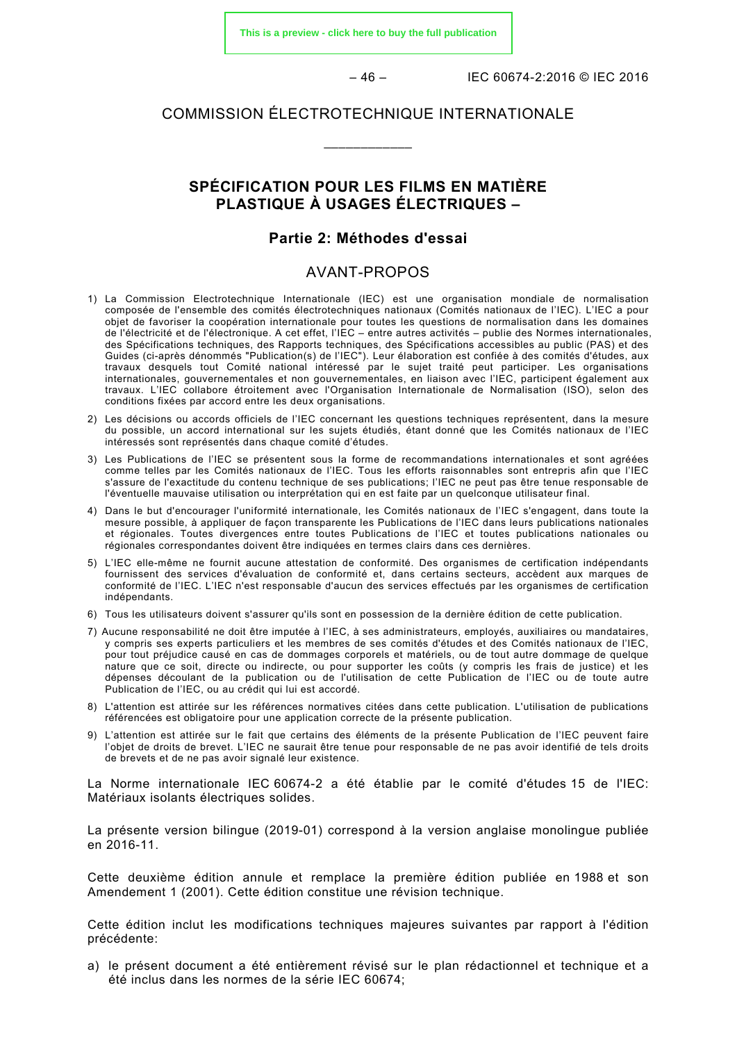**[This is a preview - click here to buy the full publication](https://webstore.iec.ch/publication/26239&preview)**

 $-46 -$  IEC 60674-2:2016 © IEC 2016

## COMMISSION ÉLECTROTECHNIQUE INTERNATIONALE

\_\_\_\_\_\_\_\_\_\_\_\_

## **SPÉCIFICATION POUR LES FILMS EN MATIÈRE PLASTIQUE À USAGES ÉLECTRIQUES –**

## **Partie 2: Méthodes d'essai**

## AVANT-PROPOS

- <span id="page-14-0"></span>1) La Commission Electrotechnique Internationale (IEC) est une organisation mondiale de normalisation composée de l'ensemble des comités électrotechniques nationaux (Comités nationaux de l'IEC). L'IEC a pour objet de favoriser la coopération internationale pour toutes les questions de normalisation dans les domaines de l'électricité et de l'électronique. A cet effet, l'IEC – entre autres activités – publie des Normes internationales, des Spécifications techniques, des Rapports techniques, des Spécifications accessibles au public (PAS) et des Guides (ci-après dénommés "Publication(s) de l'IEC"). Leur élaboration est confiée à des comités d'études, aux travaux desquels tout Comité national intéressé par le sujet traité peut participer. Les organisations internationales, gouvernementales et non gouvernementales, en liaison avec l'IEC, participent également aux travaux. L'IEC collabore étroitement avec l'Organisation Internationale de Normalisation (ISO), selon des conditions fixées par accord entre les deux organisations.
- 2) Les décisions ou accords officiels de l'IEC concernant les questions techniques représentent, dans la mesure du possible, un accord international sur les sujets étudiés, étant donné que les Comités nationaux de l'IEC intéressés sont représentés dans chaque comité d'études.
- 3) Les Publications de l'IEC se présentent sous la forme de recommandations internationales et sont agréées comme telles par les Comités nationaux de l'IEC. Tous les efforts raisonnables sont entrepris afin que l'IEC s'assure de l'exactitude du contenu technique de ses publications; l'IEC ne peut pas être tenue responsable de l'éventuelle mauvaise utilisation ou interprétation qui en est faite par un quelconque utilisateur final.
- 4) Dans le but d'encourager l'uniformité internationale, les Comités nationaux de l'IEC s'engagent, dans toute la mesure possible, à appliquer de façon transparente les Publications de l'IEC dans leurs publications nationales et régionales. Toutes divergences entre toutes Publications de l'IEC et toutes publications nationales ou régionales correspondantes doivent être indiquées en termes clairs dans ces dernières.
- 5) L'IEC elle-même ne fournit aucune attestation de conformité. Des organismes de certification indépendants fournissent des services d'évaluation de conformité et, dans certains secteurs, accèdent aux marques de conformité de l'IEC. L'IEC n'est responsable d'aucun des services effectués par les organismes de certification indépendants.
- 6) Tous les utilisateurs doivent s'assurer qu'ils sont en possession de la dernière édition de cette publication.
- 7) Aucune responsabilité ne doit être imputée à l'IEC, à ses administrateurs, employés, auxiliaires ou mandataires, y compris ses experts particuliers et les membres de ses comités d'études et des Comités nationaux de l'IEC, pour tout préjudice causé en cas de dommages corporels et matériels, ou de tout autre dommage de quelque nature que ce soit, directe ou indirecte, ou pour supporter les coûts (y compris les frais de justice) et les dépenses découlant de la publication ou de l'utilisation de cette Publication de l'IEC ou de toute autre Publication de l'IEC, ou au crédit qui lui est accordé.
- 8) L'attention est attirée sur les références normatives citées dans cette publication. L'utilisation de publications référencées est obligatoire pour une application correcte de la présente publication.
- 9) L'attention est attirée sur le fait que certains des éléments de la présente Publication de l'IEC peuvent faire l'objet de droits de brevet. L'IEC ne saurait être tenue pour responsable de ne pas avoir identifié de tels droits de brevets et de ne pas avoir signalé leur existence.

La Norme internationale IEC 60674-2 a été établie par le comité d'études 15 de l'IEC: Matériaux isolants électriques solides.

La présente version bilingue (2019-01) correspond à la version anglaise monolingue publiée en 2016-11.

Cette deuxième édition annule et remplace la première édition publiée en 1988 et son Amendement 1 (2001). Cette édition constitue une révision technique.

Cette édition inclut les modifications techniques majeures suivantes par rapport à l'édition précédente:

a) le présent document a été entièrement révisé sur le plan rédactionnel et technique et a été inclus dans les normes de la série IEC 60674;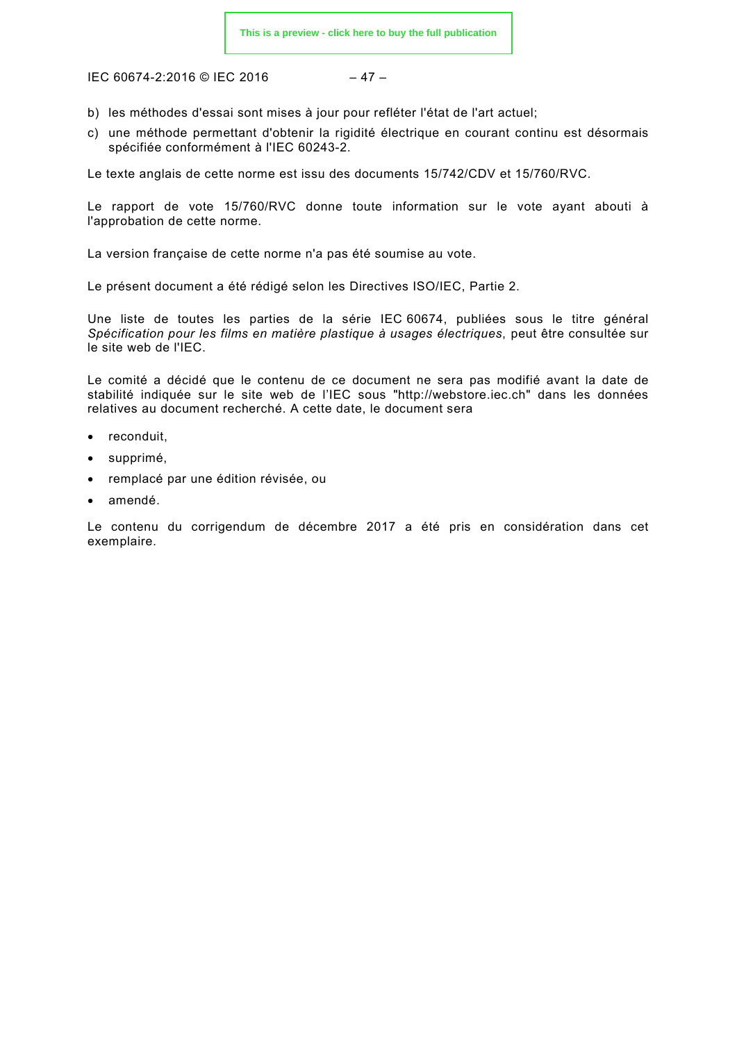IEC 60674-2:2016 © IEC 2016

$$
-47-
$$

- b) les méthodes d'essai sont mises à jour pour refléter l'état de l'art actuel;
- c) une méthode permettant d'obtenir la rigidité électrique en courant continu est désormais spécifiée conformément à l'IEC 60243-2.

Le texte anglais de cette norme est issu des documents 15/742/CDV et 15/760/RVC.

Le rapport de vote 15/760/RVC donne toute information sur le vote ayant abouti à l'approbation de cette norme.

La version française de cette norme n'a pas été soumise au vote.

Le présent document a été rédigé selon les Directives ISO/IEC, Partie 2.

Une liste de toutes les parties de la série IEC 60674, publiées sous le titre général *Spécification pour les films en matière plastique à usages électriques*, peut être consultée sur le site web de l'IEC.

Le comité a décidé que le contenu de ce document ne sera pas modifié avant la date de stabilité indiquée sur le site web de l'IEC sous "http://webstore.iec.ch" dans les données relatives au document recherché. A cette date, le document sera

- reconduit,
- supprimé,
- remplacé par une édition révisée, ou
- amendé.

Le contenu du corrigendum de décembre 2017 a été pris en considération dans cet exemplaire.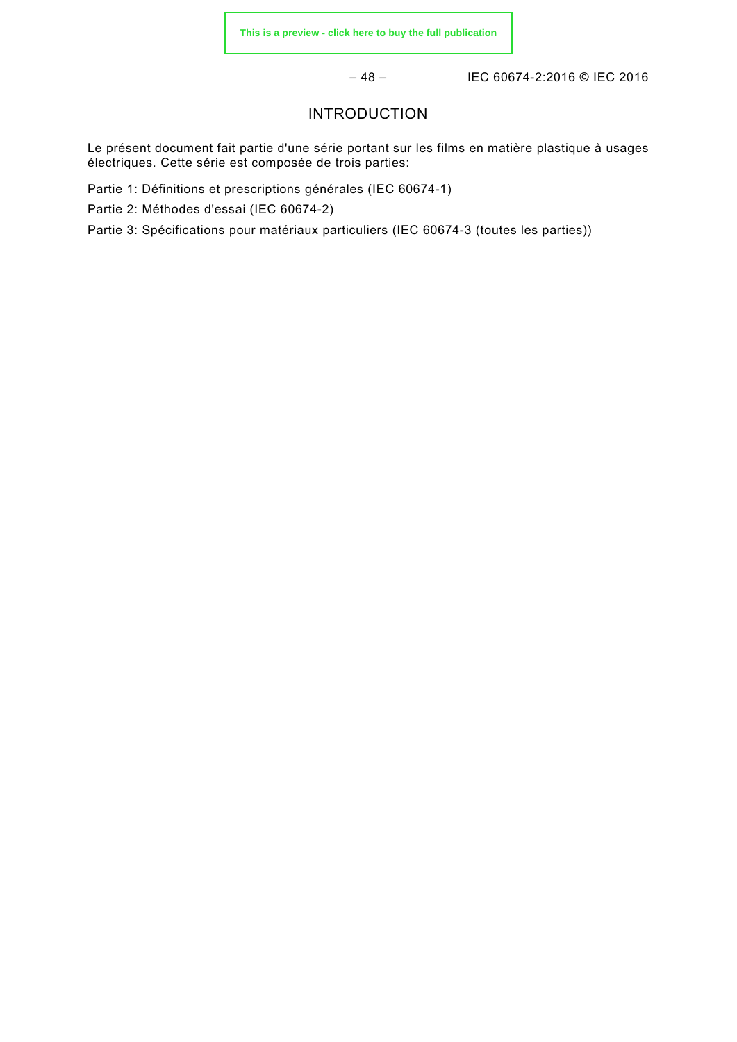– 48 – IEC 60674-2:2016 © IEC 2016

### INTRODUCTION

<span id="page-16-0"></span>Le présent document fait partie d'une série portant sur les films en matière plastique à usages électriques. Cette série est composée de trois parties:

Partie 1: Définitions et prescriptions générales (IEC 60674-1)

Partie 2: Méthodes d'essai (IEC 60674-2)

Partie 3: Spécifications pour matériaux particuliers (IEC 60674-3 (toutes les parties))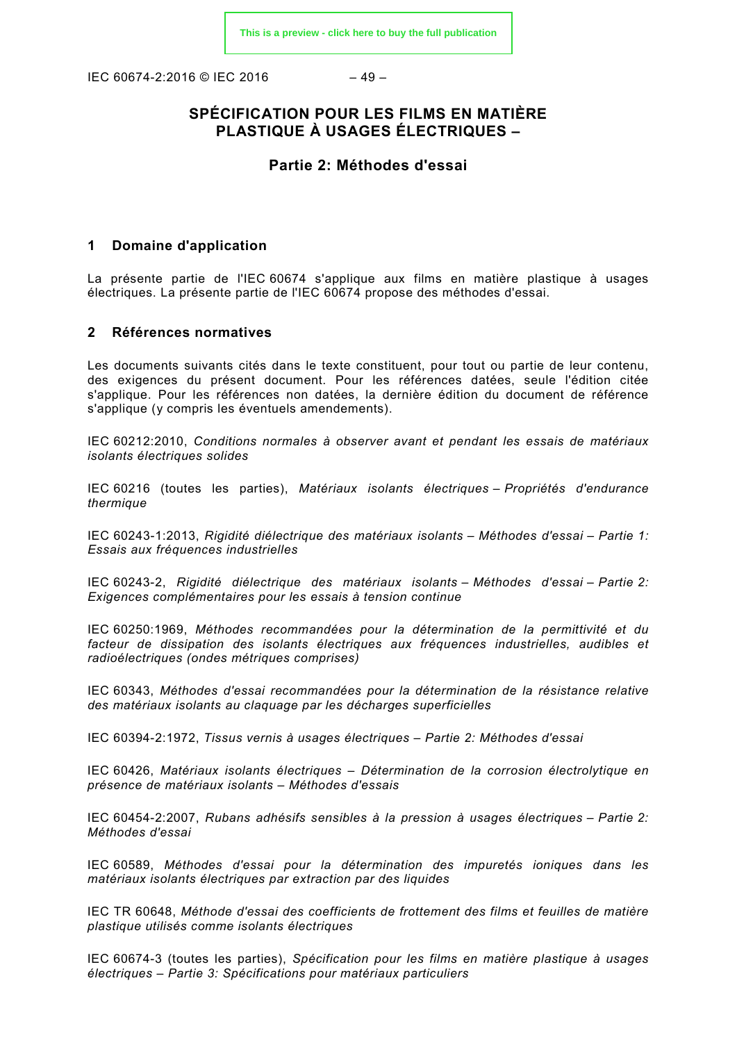IEC 60674-2:2016 © IEC 2016 – 49 –

## **SPÉCIFICATION POUR LES FILMS EN MATIÈRE PLASTIQUE À USAGES ÉLECTRIQUES –**

## **Partie 2: Méthodes d'essai**

#### <span id="page-17-0"></span>**1 Domaine d'application**

La présente partie de l'IEC 60674 s'applique aux films en matière plastique à usages électriques. La présente partie de l'IEC 60674 propose des méthodes d'essai.

#### <span id="page-17-1"></span>**2 Références normatives**

Les documents suivants cités dans le texte constituent, pour tout ou partie de leur contenu, des exigences du présent document. Pour les références datées, seule l'édition citée s'applique. Pour les références non datées, la dernière édition du document de référence s'applique (y compris les éventuels amendements).

IEC 60212:2010, *Conditions normales à observer avant et pendant les essais de matériaux isolants électriques solides*

IEC 60216 (toutes les parties), *Matériaux isolants électriques – Propriétés d'endurance thermique*

IEC 60243-1:2013, *Rigidité diélectrique des matériaux isolants – Méthodes d'essai – Partie 1: Essais aux fréquences industrielles*

IEC 60243-2, *Rigidité diélectrique des matériaux isolants – Méthodes d'essai – Partie 2: Exigences complémentaires pour les essais à tension continue*

IEC 60250:1969, *Méthodes recommandées pour la détermination de la permittivité et du*  facteur de dissipation des isolants électriques aux fréquences industrielles, audibles et *radioélectriques (ondes métriques comprises)*

IEC 60343, *Méthodes d'essai recommandées pour la détermination de la résistance relative des matériaux isolants au claquage par les décharges superficielles*

IEC 60394-2:1972, *Tissus vernis à usages électriques – Partie 2: Méthodes d'essai*

IEC 60426, *Matériaux isolants électriques – Détermination de la corrosion électrolytique en présence de matériaux isolants – Méthodes d'essais*

IEC 60454-2:2007, *Rubans adhésifs sensibles à la pression à usages électriques – Partie 2: Méthodes d'essai*

IEC 60589, *Méthodes d'essai pour la détermination des impuretés ioniques dans les matériaux isolants électriques par extraction par des liquides*

IEC TR 60648, *Méthode d'essai des coefficients de frottement des films et feuilles de matière plastique utilisés comme isolants électriques*

IEC 60674-3 (toutes les parties), *Spécification pour les films en matière plastique à usages électriques – Partie 3: Spécifications pour matériaux particuliers*